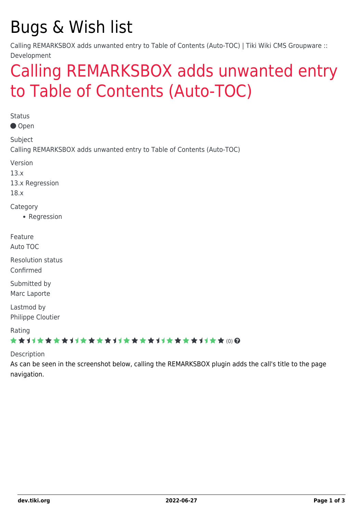## Bugs & Wish list

Calling REMARKSBOX adds unwanted entry to Table of Contents (Auto-TOC) | Tiki Wiki CMS Groupware :: Development

### [Calling REMARKSBOX adds unwanted entry](https://dev.tiki.org/item5382-Calling-REMARKSBOX-adds-unwanted-entry-to-Table-of-Contents-Auto-TOC) [to Table of Contents \(Auto-TOC\)](https://dev.tiki.org/item5382-Calling-REMARKSBOX-adds-unwanted-entry-to-Table-of-Contents-Auto-TOC)

**Status** Open Subject Calling REMARKSBOX adds unwanted entry to Table of Contents (Auto-TOC) Version 13.x 13.x Regression 18.x **Category** • Regression Feature Auto TOC Resolution status Confirmed Submitted by Marc Laporte Lastmod by Philippe Cloutier Rating \*\*\*\*\*\*\*\*\*\*\*\*\*\*\*\*\*\*\*\*\*\*\*\*\*\*\*\*\*\*

Description

As can be seen in the screenshot below, calling the REMARKSBOX plugin adds the call's title to the page navigation.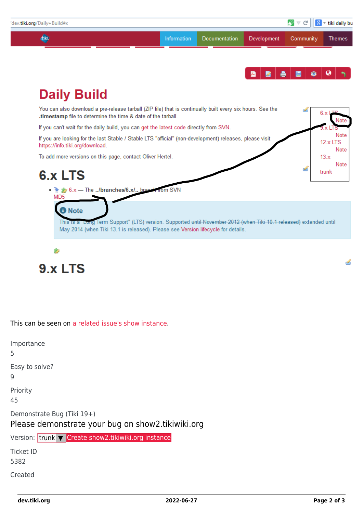

9.x LTS

This can be seen on [a related issue's show instance.](http://erikqvam-11905-6586.show.tikiwiki.org/tiki-index.php)

Importance 5 Easy to solve? 9 Priority 45 Demonstrate Bug (Tiki 19+) Please demonstrate your bug on show2.tikiwiki.org Version: trunk ▼ [Create show2.tikiwiki.org instance](#page--1-0) Ticket ID 5382 Created